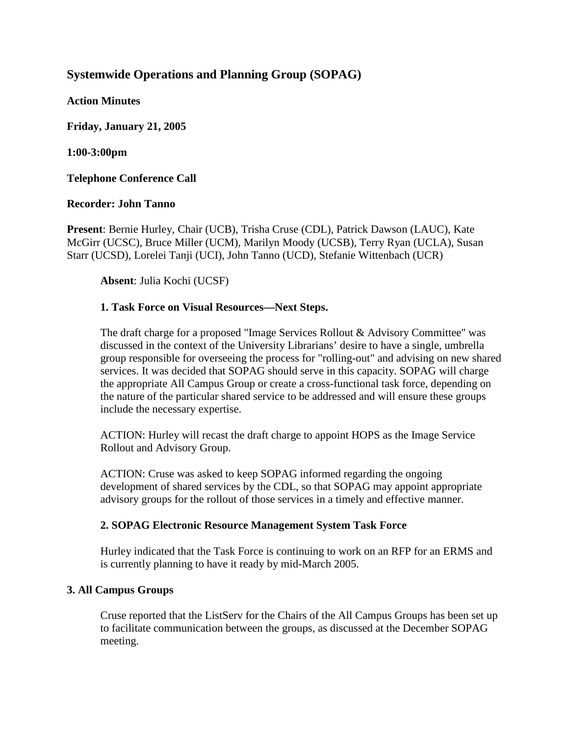# **Systemwide Operations and Planning Group (SOPAG)**

**Action Minutes**

**Friday, January 21, 2005**

**1:00-3:00pm**

**Telephone Conference Call** 

## **Recorder: John Tanno**

**Present**: Bernie Hurley, Chair (UCB), Trisha Cruse (CDL), Patrick Dawson (LAUC), Kate McGirr (UCSC), Bruce Miller (UCM), Marilyn Moody (UCSB), Terry Ryan (UCLA), Susan Starr (UCSD), Lorelei Tanji (UCI), John Tanno (UCD), Stefanie Wittenbach (UCR)

**Absent**: Julia Kochi (UCSF)

## **1. Task Force on Visual Resources—Next Steps.**

The draft charge for a proposed "Image Services Rollout & Advisory Committee" was discussed in the context of the University Librarians' desire to have a single, umbrella group responsible for overseeing the process for "rolling-out" and advising on new shared services. It was decided that SOPAG should serve in this capacity. SOPAG will charge the appropriate All Campus Group or create a cross-functional task force, depending on the nature of the particular shared service to be addressed and will ensure these groups include the necessary expertise.

ACTION: Hurley will recast the draft charge to appoint HOPS as the Image Service Rollout and Advisory Group.

ACTION: Cruse was asked to keep SOPAG informed regarding the ongoing development of shared services by the CDL, so that SOPAG may appoint appropriate advisory groups for the rollout of those services in a timely and effective manner.

## **2. SOPAG Electronic Resource Management System Task Force**

Hurley indicated that the Task Force is continuing to work on an RFP for an ERMS and is currently planning to have it ready by mid-March 2005.

## **3. All Campus Groups**

Cruse reported that the ListServ for the Chairs of the All Campus Groups has been set up to facilitate communication between the groups, as discussed at the December SOPAG meeting.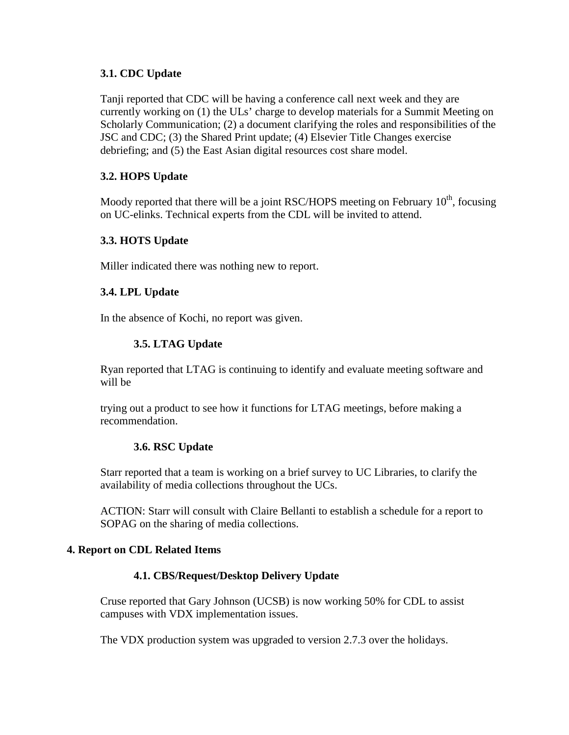#### **3.1. CDC Update**

Tanji reported that CDC will be having a conference call next week and they are currently working on (1) the ULs' charge to develop materials for a Summit Meeting on Scholarly Communication; (2) a document clarifying the roles and responsibilities of the JSC and CDC; (3) the Shared Print update; (4) Elsevier Title Changes exercise debriefing; and (5) the East Asian digital resources cost share model.

## **3.2. HOPS Update**

Moody reported that there will be a joint RSC/HOPS meeting on February  $10<sup>th</sup>$ , focusing on UC-elinks. Technical experts from the CDL will be invited to attend.

## **3.3. HOTS Update**

Miller indicated there was nothing new to report.

## **3.4. LPL Update**

In the absence of Kochi, no report was given.

# **3.5. LTAG Update**

Ryan reported that LTAG is continuing to identify and evaluate meeting software and will be

trying out a product to see how it functions for LTAG meetings, before making a recommendation.

## **3.6. RSC Update**

Starr reported that a team is working on a brief survey to UC Libraries, to clarify the availability of media collections throughout the UCs.

ACTION: Starr will consult with Claire Bellanti to establish a schedule for a report to SOPAG on the sharing of media collections.

## **4. Report on CDL Related Items**

## **4.1. CBS/Request/Desktop Delivery Update**

Cruse reported that Gary Johnson (UCSB) is now working 50% for CDL to assist campuses with VDX implementation issues.

The VDX production system was upgraded to version 2.7.3 over the holidays.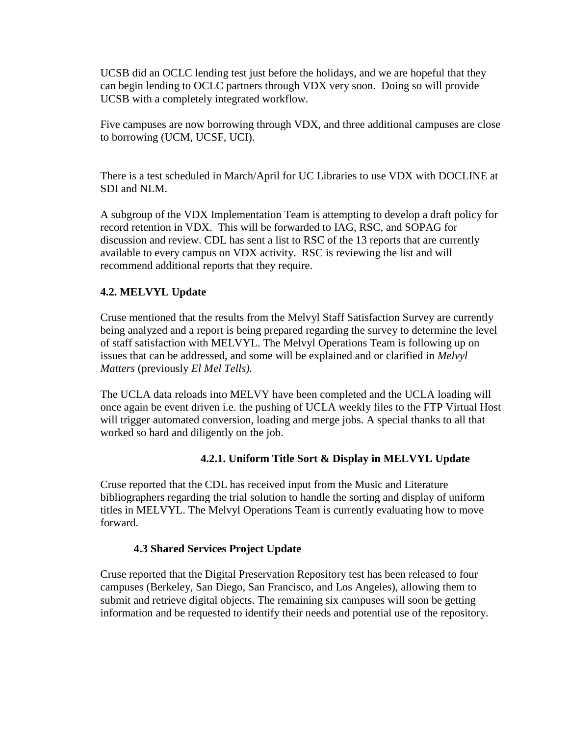UCSB did an OCLC lending test just before the holidays, and we are hopeful that they can begin lending to OCLC partners through VDX very soon. Doing so will provide UCSB with a completely integrated workflow.

Five campuses are now borrowing through VDX, and three additional campuses are close to borrowing (UCM, UCSF, UCI).

There is a test scheduled in March/April for UC Libraries to use VDX with DOCLINE at SDI and NLM.

A subgroup of the VDX Implementation Team is attempting to develop a draft policy for record retention in VDX. This will be forwarded to IAG, RSC, and SOPAG for discussion and review. CDL has sent a list to RSC of the 13 reports that are currently available to every campus on VDX activity. RSC is reviewing the list and will recommend additional reports that they require.

# **4.2. MELVYL Update**

Cruse mentioned that the results from the Melvyl Staff Satisfaction Survey are currently being analyzed and a report is being prepared regarding the survey to determine the level of staff satisfaction with MELVYL. The Melvyl Operations Team is following up on issues that can be addressed, and some will be explained and or clarified in *Melvyl Matters* (previously *El Mel Tells).* 

The UCLA data reloads into MELVY have been completed and the UCLA loading will once again be event driven i.e. the pushing of UCLA weekly files to the FTP Virtual Host will trigger automated conversion, loading and merge jobs. A special thanks to all that worked so hard and diligently on the job.

## **4.2.1. Uniform Title Sort & Display in MELVYL Update**

Cruse reported that the CDL has received input from the Music and Literature bibliographers regarding the trial solution to handle the sorting and display of uniform titles in MELVYL. The Melvyl Operations Team is currently evaluating how to move forward.

## **4.3 Shared Services Project Update**

Cruse reported that the Digital Preservation Repository test has been released to four campuses (Berkeley, San Diego, San Francisco, and Los Angeles), allowing them to submit and retrieve digital objects. The remaining six campuses will soon be getting information and be requested to identify their needs and potential use of the repository.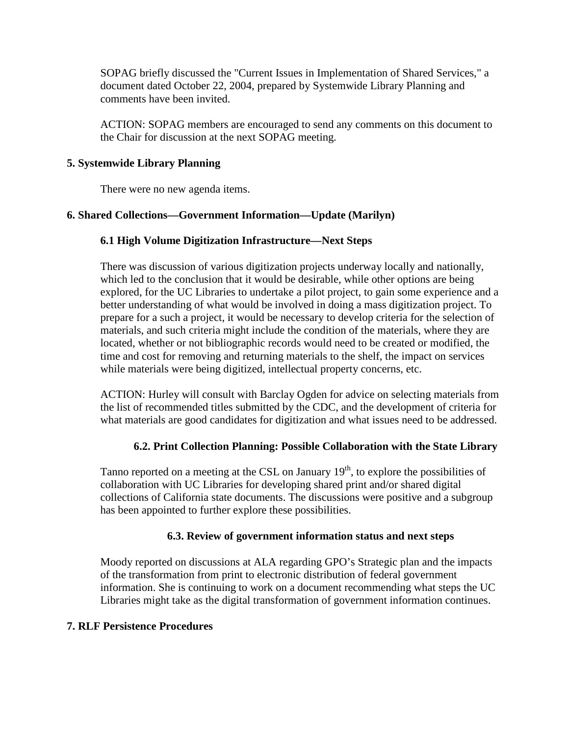SOPAG briefly discussed the "Current Issues in Implementation of Shared Services," a document dated October 22, 2004, prepared by Systemwide Library Planning and comments have been invited.

ACTION: SOPAG members are encouraged to send any comments on this document to the Chair for discussion at the next SOPAG meeting.

## **5. Systemwide Library Planning**

There were no new agenda items.

## **6. Shared Collections—Government Information—Update (Marilyn)**

## **6.1 High Volume Digitization Infrastructure—Next Steps**

There was discussion of various digitization projects underway locally and nationally, which led to the conclusion that it would be desirable, while other options are being explored, for the UC Libraries to undertake a pilot project, to gain some experience and a better understanding of what would be involved in doing a mass digitization project. To prepare for a such a project, it would be necessary to develop criteria for the selection of materials, and such criteria might include the condition of the materials, where they are located, whether or not bibliographic records would need to be created or modified, the time and cost for removing and returning materials to the shelf, the impact on services while materials were being digitized, intellectual property concerns, etc.

ACTION: Hurley will consult with Barclay Ogden for advice on selecting materials from the list of recommended titles submitted by the CDC, and the development of criteria for what materials are good candidates for digitization and what issues need to be addressed.

## **6.2. Print Collection Planning: Possible Collaboration with the State Library**

Tanno reported on a meeting at the CSL on January  $19<sup>th</sup>$ , to explore the possibilities of collaboration with UC Libraries for developing shared print and/or shared digital collections of California state documents. The discussions were positive and a subgroup has been appointed to further explore these possibilities.

## **6.3. Review of government information status and next steps**

Moody reported on discussions at ALA regarding GPO's Strategic plan and the impacts of the transformation from print to electronic distribution of federal government information. She is continuing to work on a document recommending what steps the UC Libraries might take as the digital transformation of government information continues.

## **7. RLF Persistence Procedures**